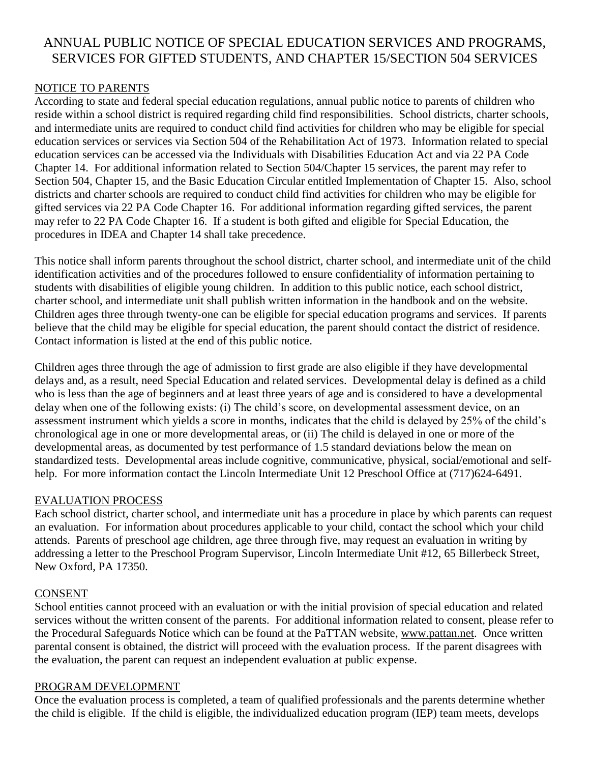# ANNUAL PUBLIC NOTICE OF SPECIAL EDUCATION SERVICES AND PROGRAMS, SERVICES FOR GIFTED STUDENTS, AND CHAPTER 15/SECTION 504 SERVICES

## NOTICE TO PARENTS

According to state and federal special education regulations, annual public notice to parents of children who reside within a school district is required regarding child find responsibilities. School districts, charter schools, and intermediate units are required to conduct child find activities for children who may be eligible for special education services or services via Section 504 of the Rehabilitation Act of 1973. Information related to special education services can be accessed via the Individuals with Disabilities Education Act and via 22 PA Code Chapter 14. For additional information related to Section 504/Chapter 15 services, the parent may refer to Section 504, Chapter 15, and the Basic Education Circular entitled Implementation of Chapter 15. Also, school districts and charter schools are required to conduct child find activities for children who may be eligible for gifted services via 22 PA Code Chapter 16. For additional information regarding gifted services, the parent may refer to 22 PA Code Chapter 16. If a student is both gifted and eligible for Special Education, the procedures in IDEA and Chapter 14 shall take precedence.

This notice shall inform parents throughout the school district, charter school, and intermediate unit of the child identification activities and of the procedures followed to ensure confidentiality of information pertaining to students with disabilities of eligible young children. In addition to this public notice, each school district, charter school, and intermediate unit shall publish written information in the handbook and on the website. Children ages three through twenty-one can be eligible for special education programs and services. If parents believe that the child may be eligible for special education, the parent should contact the district of residence. Contact information is listed at the end of this public notice.

Children ages three through the age of admission to first grade are also eligible if they have developmental delays and, as a result, need Special Education and related services. Developmental delay is defined as a child who is less than the age of beginners and at least three years of age and is considered to have a developmental delay when one of the following exists: (i) The child's score, on developmental assessment device, on an assessment instrument which yields a score in months, indicates that the child is delayed by 25% of the child's chronological age in one or more developmental areas, or (ii) The child is delayed in one or more of the developmental areas, as documented by test performance of 1.5 standard deviations below the mean on standardized tests. Developmental areas include cognitive, communicative, physical, social/emotional and selfhelp. For more information contact the Lincoln Intermediate Unit 12 Preschool Office at (717)624-6491.

#### EVALUATION PROCESS

Each school district, charter school, and intermediate unit has a procedure in place by which parents can request an evaluation. For information about procedures applicable to your child, contact the school which your child attends. Parents of preschool age children, age three through five, may request an evaluation in writing by addressing a letter to the Preschool Program Supervisor, Lincoln Intermediate Unit #12, 65 Billerbeck Street, New Oxford, PA 17350.

#### CONSENT

School entities cannot proceed with an evaluation or with the initial provision of special education and related services without the written consent of the parents. For additional information related to consent, please refer to the Procedural Safeguards Notice which can be found at the PaTTAN website, [www.pattan.net.](http://www.pattan.net/) Once written parental consent is obtained, the district will proceed with the evaluation process. If the parent disagrees with the evaluation, the parent can request an independent evaluation at public expense.

#### PROGRAM DEVELOPMENT

Once the evaluation process is completed, a team of qualified professionals and the parents determine whether the child is eligible. If the child is eligible, the individualized education program (IEP) team meets, develops